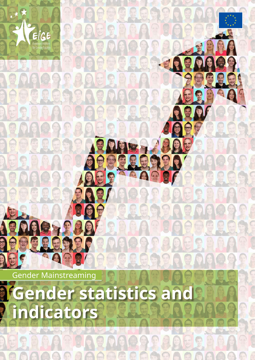

385545556

35

**ER MASSE** 

**ACOOL TRACT** 

European Institute for Gender Equality

EIGE

## *Gender statistics and* **indicators**

 $\mathfrak{g}[\mathfrak{g}]$ 

**BESPRRY** 

**ROOM ARANGEMARANGEMENT** 

**A DESSELENTEL** 

**OLOGOOG** 

 $\bigcap_{i=1}^n \bigcap_{i=1}^n$ 

IO TTEAT

**BRACKS** 

但是

**CEET** 

COORRA

SF

**DEEEES** 

88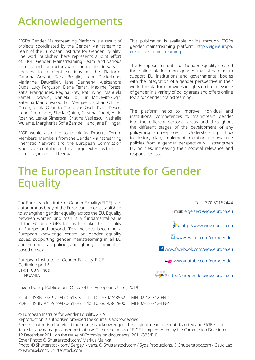## Acknowledgements

EIGE's Gender Mainstreaming Platform is a result of projects coordinated by the Gender Mainstreaming Team of the European Institute for Gender Equality. The work published here represents a joint effort of EIGE Gender Mainstreaming Team and various experts and contractors who contributed in varying degrees to different sections of the Platform: Catarina Arnaut, Daria Broglio, Irene Dankelman, Marianne Dauvellier, Jane Dennehy, Aleksandra Duda, Lucy Ferguson, Elena Ferrari, Maxime Forest, Katia Frangoudes, Regina Frey, Pat Irving, Manuela Samek Lodovici, Daniela Loi, Lin McDevitt-Pugh, Katerina Mantouvalou, Lut Mergaert, Siobán O'Brien Green, Nicola Orlando, Thera van Osch, Flavia Pesce, Irene Pimminger, Sheila Quinn, Cristina Radoi, Alide Roerink, Lenka Simerska, Cristina Vasilescu, Nathalie Wuiame, Margherita Sofia Zambelli, and Jane Pillinger.

EIGE would also like to thank its Experts' Forum Members, Members from the Gender Mainstreaming Thematic Network and the European Commission who have contributed to a large extent with their expertise, ideas and feedback.

This publication is available online through EIGE's gender mainstreaming platform: [http://eige.europa.](http://eige.europa.eu/gender-mainstreaming) [eu/gender-mainstreaming](http://eige.europa.eu/gender-mainstreaming)

The European Institute for Gender Equality created the online platform on gender mainstreaming to support EU institutions and governmental bodies with the integration of a gender perspective in their work. The platform provides insights on the relevance of gender in a variety of policy areas and offers online tools for gender mainstreaming.

The platform helps to improve individual and institutional competences to mainstream gender into the different sectorial areas and throughout the different stages of the development of any policy/programme/project. Understanding how to design, plan, implement, monitor and evaluate policies from a gender perspective will strengthen EU policies, increasing their societal relevance and responsiveness.

## The European Institute for Gender Equality

The European Institute for Gender Equality (EIGE) is an autonomous body of the European Union established to strengthen gender equality across the EU. Equality between women and men is a fundamental value of the EU and EIGE's task is to make this a reality in Europe and beyond. This includes becoming a European knowledge centre on gender equality issues, supporting gender mainstreaming in all EU and member state policies, and fighting discrimination based on sex.

European Institute for Gender Equality, EIGE Gedimino pr. 16 LT-01103 Vilnius LITHUANIA

Tel. +370 52157444

Email: [eige.sec@eige.europa.eu](mailto:eige.sec%40eige.europa.eu?subject=)

**Keise [http://www.eige.europa.eu](https://eige.europa.eu/)** 

**Www.twitter.com/eurogender** 

[www.facebook.com/eige.europa.eu](http://www.facebook.com/eige.europa.eu)

[www.youtube.com/eurogender](http://www.youtube.com/eurogender)



Luxembourg: Publications Office of the European Union, 2019

Print ISBN 978-92-9470-613-3 doi:10.2839/743552 MH-02-18-742-EN-C PDF ISBN 978-92-9470-612-6 doi:10.2839/842800 MH-02-18-742-EN-N

© European Institute for Gender Equality, 2019

Reproduction is authorised provided the source is acknowledged.

Reuse is authorised provided the source is acknowledged, the original meaning is not distorted and EIGE is not liable for any damage caused by that use. The reuse policy of EIGE is implemented by the Commission Decision of 12 December 2011 on the reuse of Commission documents (2011/833/EU). Cover Photo: © Shutterstock.com/ Markus Mainka

Photo: © Shutterstock.com/ Sergey Nivens, © Shutterstock.com / Syda Productions, © Shutterstock.com / GaudiLab © Rawpixel.com/Shutterstock.com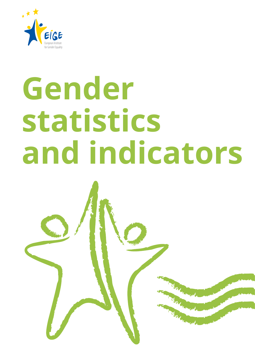

# **Gender statistics and indicators**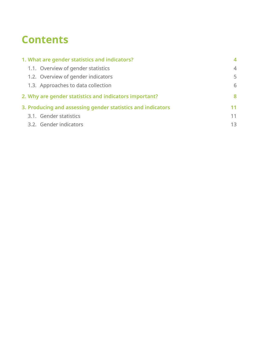## **Contents**

| 1. What are gender statistics and indicators?               | $\boldsymbol{4}$ |
|-------------------------------------------------------------|------------------|
| 1.1. Overview of gender statistics                          | $\overline{4}$   |
| 1.2. Overview of gender indicators                          | 5                |
| 1.3. Approaches to data collection                          | 6                |
| 2. Why are gender statistics and indicators important?      | 8                |
| 3. Producing and assessing gender statistics and indicators | 11               |
| 3.1. Gender statistics                                      | 11               |
| 3.2. Gender indicators                                      | 13               |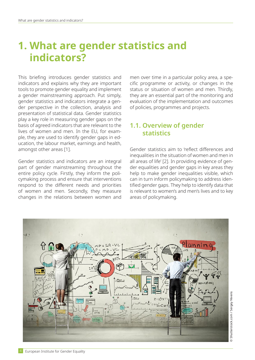## <span id="page-5-0"></span>**1. What are gender statistics and indicators?**

This briefing introduces gender statistics and indicators and explains why they are important tools to promote gender equality and implement a gender mainstreaming approach. Put simply, gender statistics and indicators integrate a gender perspective in the collection, analysis and presentation of statistical data. Gender statistics play a key role in measuring gender gaps on the basis of agreed indicators that are relevant to the lives of women and men. In the EU, for example, they are used to identify gender gaps in education, the labour market, earnings and health, amongst other areas [1].

Gender statistics and indicators are an integral part of gender mainstreaming throughout the entire policy cycle. Firstly, they inform the policymaking process and ensure that interventions respond to the different needs and priorities of women and men. Secondly, they measure changes in the relations between women and

men over time in a particular policy area, a specific programme or activity, or changes in the status or situation of women and men. Thirdly, they are an essential part of the monitoring and evaluation of the implementation and outcomes of policies, programmes and projects.

#### **1.1. Overview of gender statistics**

Gender statistics aim to 'reflect differences and inequalities in the situation of women and men in all areas of life' [2]. In providing evidence of gender equalities and gender gaps in key areas they help to make gender inequalities visible, which can in turn inform policymaking to address identified gender gaps. They help to identify data that is relevant to women's and men's lives and to key areas of policymaking.

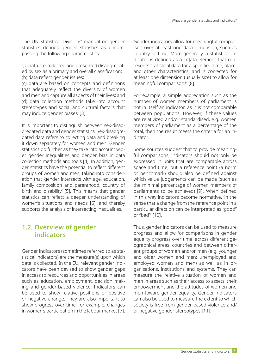<span id="page-6-0"></span>The UN Statistical Divisions' manual on gender statistics defines gender statistics as encompassing the following characteristics:

'(a) data are collected and presented disaggregated by sex as a primary and overall classification;

(b) data reflect gender issues;

(c) data are based on concepts and definitions that adequately reflect the diversity of women and men and capture all aspects of their lives; and (d) data collection methods take into account stereotypes and social and cultural factors that may induce gender biases' [3].

It is important to distinguish between sex-disaggregated data and gender statistics. Sex-disaggregated data refers to collecting data and breaking it down separately for women and men. Gender statistics go further as they take into account wider gender inequalities and gender bias in data collection methods and tools [4]. In addition, gender statistics have the potential to reflect different groups of women and men, taking into consideration that 'gender intersects with age, education, family composition and parenthood, country of birth and disability' [5]. This means that gender statistics can reflect a deeper understanding of women's situations and needs [6], and thereby supports the analysis of intersecting inequalities.

#### **1.2. Overview of gender indicators**

Gender indicators (sometimes referred to as statistical indicators) are the measure(s) upon which data is collected. In the EU, relevant gender indicators have been devised to show gender gaps in access to resources and opportunities in areas such as education, employment, decision making and gender-based violence. Indicators can be used to show relative positions or positive or negative change. They are also important to show progress over time, for example, changes in women's participation in the labour market [7].

Gender indicators allow for meaningful comparison over at least one data dimension, such as country or time. More generally, a statistical indicator is defined as a '[d]ata element that represents statistical data for a specified time, place, and other characteristics, and is corrected for at least one dimension (usually size) to allow for meaningful comparisons' [8].

For example, a simple aggregation such as the number of women members of parliament is not in itself an indicator, as it is not comparable between populations. However, if these values are relativized and/or standardised, e.g. women members of parliament as a percentage of the total, then the result meets the criteria for an indicator.

Some sources suggest that to provide meaningful comparisons, indicators should not only be expressed in units that are comparable across space and time, but a reference point (a norm or benchmark) should also be defined against which value judgements can be made (such as the minimal percentage of women members of parliaments to be achieved) [9]. When defined in this way indicators become normative, 'in the sense that a change from the reference point in a particular direction can be interpreted as "good" or "bad"' [10].

Thus, gender indicators can be used to measure progress and allow for comparisons in gender equality progress over time, across different geographical areas, countries and between different groups of women and/or men (e.g. younger and older women and men; unemployed and employed women and men) as well as in organisations, institutions and systems. They can measure the relative situation of women and men in areas such as their access to assets, their empowerment and the attitudes of women and men toward gender equality. Gender indicators can also be used to measure the extent to which society is free from gender-based violence and/ or negative gender stereotypes [11].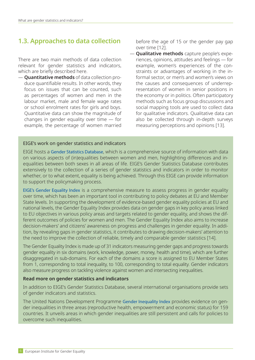#### <span id="page-7-0"></span>**1.3. Approaches to data collection**

There are two main methods of data collection relevant for gender statistics and indicators, which are briefly described here.

— **Quantitative methods** of data collection produce quantifiable results. In other words, they focus on issues that can be counted, such as percentages of women and men in the labour market, male and female wage rates or school enrolment rates for girls and boys. Quantitative data can show the magnitude of changes in gender equality over time — for example, the percentage of women married before the age of 15 or the gender pay gap over time [12].

— **Qualitative methods** capture people's experiences, opinions, attitudes and feelings — for example, women's experiences of the constraints or advantages of working in the informal sector, or men's and women's views on the causes and consequences of underrepresentation of women in senior positions in the economy or in politics. Often participatory methods such as focus group discussions and social mapping tools are used to collect data for qualitative indicators. Qualitative data can also be collected through in-depth surveys measuring perceptions and opinions [13].

#### EIGE's work on gender statistics and indicators

EIGE hosts a [Gender Statistics Database](https://eige.europa.eu/gender-statistics/dgs), which is a comprehensive source of information with data on various aspects of (in)equalities between women and men, highlighting differences and inequalities between both sexes in all areas of life. EIGE's Gender Statistics Database contributes extensively to the collection of a series of gender statistics and indicators in order to monitor whether, or to what extent, equality is being achieved. Through this EIGE can provide information to support the policymaking process.

[EIGE's Gender Equality Index](https://eige.europa.eu/gender-equality-index) is a comprehensive measure to assess progress in gender equality over time, which has been an important tool in contributing to policy debates at EU and Member State levels. In supporting the development of evidence-based gender equality policies at EU and national levels, the Gender Equality Index provides data on gender gaps in key policy areas linked to EU objectives in various policy areas and targets related to gender equality, and shows the different outcomes of policies for women and men. The Gender Equality Index also aims to increase decision-makers' and citizens' awareness on progress and challenges in gender equality. In addition, by revealing gaps in gender statistics, it contributes to drawing decision-makers' attention to the need to improve the collection of reliable, timely and comparable gender statistics [14].

The Gender Equality Index is made up of 31 indicators measuring gender gaps and progress towards gender equality in six domains (work, knowledge, power, money, health and time), which are further disaggregated in sub-domains. For each of the domains a score is assigned to EU Member States from 1, corresponding to total inequality, to 100, corresponding to total equality. Gender indicators also measure progress on tackling violence against women and intersecting inequalities.

#### **Read more on gender statistics and indicators**

In addition to EIGE's Gender Statistics Database, several international organisations provide sets of gender indicators and statistics.

The United Nations Development Programme [Gender Inequality Index](http://hdr.undp.org/en/content/gender-inequality-index-gii) provides evidence on gender inequalities in three areas (reproductive health, empowerment and economic status) for 159 countries. It unveils areas in which gender inequalities are still persistent and calls for policies to overcome such inequalities.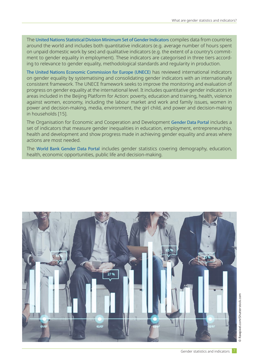The [United Nations Statistical Division Minimum Set of Gender Indicators](https://genderstats.un.org/#/home) compiles data from countries around the world and includes both quantitative indicators (e.g. average number of hours spent on unpaid domestic work by sex) and qualitative indicators (e.g. the extent of a country's commitment to gender equality in employment). These indicators are categorised in three tiers according to relevance to gender equality, methodological standards and regularity in production.

The [United Nations Economic Commission for Europe](https://w3.unece.org/PXWeb/en) (UNECE) has reviewed international indicators on gender equality by systematising and consolidating gender indicators with an internationally consistent framework. The UNECE framework seeks to improve the monitoring and evaluation of progress on gender equality at the international level. It includes quantitative gender indicators in areas included in the Beijing Platform for Action: poverty, education and training, health, violence against women, economy, including the labour market and work and family issues, women in power and decision-making, media, environment, the girl child, and power and decision-making in households [15].

The Organisation for Economic and Cooperation and Development [Gender Data Portal](http://www.oecd.org/gender/) includes a set of indicators that measure gender inequalities in education, employment, entrepreneurship, health and development and show progress made in achieving gender equality and areas where actions are most needed.

The [World Bank Gender Data Portal](http://datatopics.worldbank.org/gender/) includes gender statistics covering demography, education, health, economic opportunities, public life and decision-making.

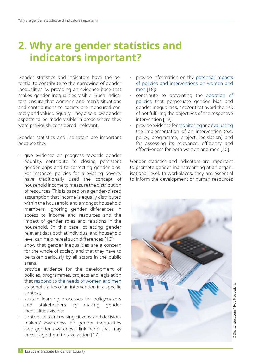## <span id="page-9-0"></span>**2. Why are gender statistics and indicators important?**

Gender statistics and indicators have the potential to contribute to the narrowing of gender inequalities by providing an evidence base that makes gender inequalities visible. Such indicators ensure that women's and men's situations and contributions to society are measured correctly and valued equally. They also allow gender aspects to be made visible in areas where they were previously considered irrelevant.

Gender statistics and indicators are important because they:

- give evidence on progress towards gender equality, contribute to closing persistent gender gaps and to correcting gender bias. For instance, policies for alleviating poverty have traditionally used the concept of household income to measure the distribution of resources. This is based on a gender-biased assumption that income is equally distributed within the household and amongst household members, ignoring gender differences in access to income and resources and the impact of gender roles and relations in the household. In this case, collecting gender relevant data both at individual and household level can help reveal such differences [16];
- show that gender inequalities are a concern for the whole of society and that they have to be taken seriously by all actors in the public arena;
- provide evidence for the development of policies, programmes, projects and legislation that [respond to the needs of women and men](https://eige.europa.eu/gender-mainstreaming/methods-tools/gender-analysis) as beneficiaries of an intervention in a specific context;
- sustain learning processes for policymakers and stakeholders by making gender inequalities visible;
- contribute to increasing citizens' and decisionmakers' awareness on gender inequalities (see gender awareness; link here) that may encourage them to take action [17];
- provide information on the [potential impacts](https://eige.europa.eu/gender-mainstreaming/methods-tools/gender-impact) [of policies and interventions on women and](https://eige.europa.eu/gender-mainstreaming/methods-tools/gender-impact) [men](https://eige.europa.eu/gender-mainstreaming/methods-tools/gender-impact) [18];
- contribute to preventing the [adoption of](https://eige.europa.eu/gender-mainstreaming/methods-tools/gender-planning) [policies](https://eige.europa.eu/gender-mainstreaming/methods-tools/gender-planning) that perpetuate gender bias and gender inequalities, and/or that avoid the risk of not fulfilling the objectives of the respective intervention [19];
- provide evidence for [monitoring](https://eige.europa.eu/gender-mainstreaming/methods-tools/gender-monitoring) and [evaluating](https://eige.europa.eu/gender-mainstreaming/methods-tools/gender-evaluation) the implementation of an intervention (e.g. policy, programme, project, legislation) and for assessing its relevance, efficiency and effectiveness for both women and men [20].

Gender statistics and indicators are important to promote gender mainstreaming at an organisational level. In workplaces, they are essential to inform the development of human resources

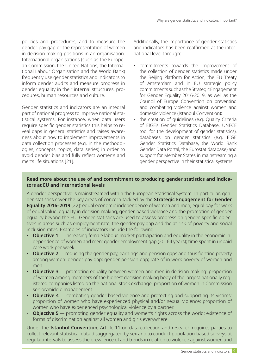policies and procedures, and to measure the gender pay gap or the representation of women in decision-making positions in an organisation. International organisations (such as the European Commission, the United Nations, the International Labour Organisation and the World Bank) frequently use gender statistics and indicators to inform gender audits and measure progress in gender equality in their internal structures, procedures, human resources and culture.

Gender statistics and indicators are an integral part of national progress to improve national statistical systems. For instance, when data users require specific gender statistics this helps to reveal gaps in general statistics and raises awareness about how to implement improvements in data collection processes (e.g. in the methodologies, concepts, topics, data series) in order to avoid gender bias and fully reflect women's and men's life situations [21].

Additionally, the importance of gender statistics and indicators has been reaffirmed at the international level through:

- commitments towards the improvement of the collection of gender statistics made under the Beijing Platform for Action, the EU Treaty of Amsterdam and in EU strategic policy commitments such as the Strategic Engagement for Gender Equality 2016-2019, as well as the Council of Europe Convention on preventing and combating violence against women and domestic violence (Istanbul Convention);
- the creation of quidelines (e.g. Quality Criteria of EIGE's Gender Statistics Database, UNECE tool for the development of gender statistics), databases on gender statistics (e.g. EIGE Gender Statistics Database, the World Bank Gender Data Portal, the Eurostat database) and support for Member States in mainstreaming a gender perspective in their statistical systems.

#### **Read more about the use of and commitment to producing gender statistics and indicators at EU and international levels**

A gender perspective is mainstreamed within the European Statistical System. In particular, gender statistics cover the key areas of concern tackled by the **Strategic Engagement for Gender Equality 2016–2019** [22]: equal economic independence of women and men, equal pay for work of equal value, equality in decision-making, gender-based violence and the promotion of gender equality beyond the EU. Gender statistics are used to assess progress on gender-specific objectives in areas such as employment rate, the gender pay gap and the at-risk-of-poverty and social inclusion rates. Examples of indicators include the following.

- **Objective 1** increasing female labour-market participation and equality in the economic independence of women and men: gender employment gap (20–64 years); time spent in unpaid care work per week.
- **Objective 2** reducing the gender pay, earnings and pension gaps and thus fighting poverty among women: gender pay gap; gender pension gap; rate of in-work poverty of women and men.
- **Objective 3** promoting equality between women and men in decision-making: proportion of women among members of the highest decision-making body of the largest nationally registered companies listed on the national stock exchange; proportion of women in Commission senior/middle management.
- **Objective 4** combating gender-based violence and protecting and supporting its victims: proportion of women who have experienced physical and/or sexual violence; proportion of women who have experienced psychological violence by a partner.
- **Objective 5** promoting gender equality and women's rights across the world: existence of forms of discrimination against all women and girls everywhere.

Under the **Istanbul Convention**, Article 11 on data collection and research requires parties to collect relevant statistical data disaggregated by sex and to conduct population-based surveys at regular intervals to assess the prevalence of and trends in relation to violence against women and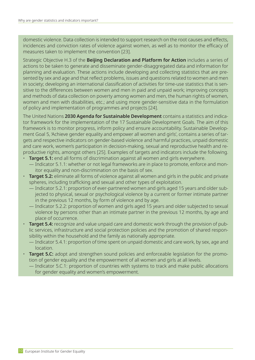domestic violence. Data collection is intended to support research on the root causes and effects, incidences and conviction rates of violence against women, as well as to monitor the efficacy of measures taken to implement the convention [23].

Strategic Objective H.3 of the **Beijing Declaration and Platform for Action** includes a series of actions to be taken to generate and disseminate gender-disaggregated data and information for planning and evaluation. These actions include developing and collecting statistics that are presented by sex and age and that reflect problems, issues and questions related to women and men in society; developing an international classification of activities for time-use statistics that is sensitive to the differences between women and men in paid and unpaid work; improving concepts and methods of data collection on poverty among women and men, the human rights of women, women and men with disabilities, etc.; and using more gender-sensitive data in the formulation of policy and implementation of programmes and projects [24].

The United Nations **2030 Agenda for Sustainable Development** contains a statistics and indicator framework for the implementation of the 17 Sustainable Development Goals. The aim of this framework is to monitor progress, inform policy and ensure accountability. Sustainable Development Goal 5, 'Achieve gender equality and empower all women and girls', contains a series of targets and respective indicators on gender-based violence and harmful practices, unpaid domestic and care work, women's participation in decision-making, sexual and reproductive health and reproductive rights, amongst others [25]. Examples of targets and indicators include the following.

- **Target 5.1:** end all forms of discrimination against all women and girls everywhere. — Indicator 5.1.1: whether or not legal frameworks are in place to promote, enforce and monitor equality and non-discrimination on the basis of sex.
- **Target 5.2:** eliminate all forms of violence against all women and girls in the public and private spheres, including trafficking and sexual and other types of exploitation.
	- Indicator 5.2.1: proportion of ever-partnered women and girls aged 15 years and older subjected to physical, sexual or psychological violence by a current or former intimate partner in the previous 12 months, by form of violence and by age.
	- Indicator 5.2.2: proportion of women and girls aged 15 years and older subjected to sexual violence by persons other than an intimate partner in the previous 12 months, by age and place of occurrence.
- **Target 5.4:** recognize and value unpaid care and domestic work through the provision of public services, infrastructure and social protection policies and the promotion of shared responsibility within the household and the family as nationally appropriate.
	- Indicator 5.4.1: proportion of time spent on unpaid domestic and care work, by sex, age and location.
- **Target 5.C:** adopt and strengthen sound policies and enforceable legislation for the promotion of gender equality and the empowerment of all women and girls at all levels.
	- Indicator 5.C.1: proportion of countries with systems to track and make public allocations for gender equality and women's empowerment.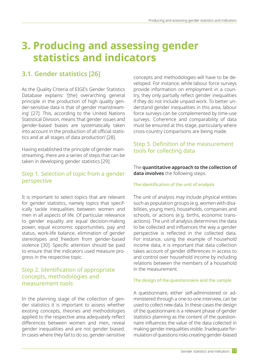## <span id="page-12-0"></span>**3. Producing and assessing gender statistics and indicators**

#### **3.1. Gender statistics [26]**

As the Quality Criteria of EIGE's Gender Statistics Database explains: '[the] overarching general principle in the production of high quality gender-sensitive data is that of gender mainstreaming' [27]. This, according to the United Nations Statistical Division, means 'that gender issues and gender-based biases are systematically taken into account in the production of all official statistics and at all stages of data production' [28].

Having established the principle of gender mainstreaming, there are a series of steps that can be taken in developing gender statistics [29].

#### Step 1. Selection of topic from a gender perspective

It is important to select topics that are relevant for gender statistics, namely topics that specifically tackle inequalities between women and men in all aspects of life. Of particular relevance to gender equality are equal decision-making power, equal economic opportunities, pay and status, work-life balance, elimination of gender stereotypes and freedom from gender-based violence [30]. Specific attention should be paid to ensure that the indicators used measure progress in the respective topic.

#### Step 2. Identification of appropriate concepts, methodologies and measurement tools

In the planning stage of the collection of gender statistics it is important to assess whether existing concepts, theories and methodologies applied to the respective area adequately reflect differences between women and men, reveal gender inequalities and are not gender biased. In cases where they fail to do so, gender-sensitive

concepts and methodologies will have to be developed. For instance, while labour force surveys provide information on employment in a country, they only partially reflect gender inequalities if they do not include unpaid work. To better understand gender inequalities in this area, labour force surveys can be complemented by time-use surveys. Coherence and comparability of data must be ensured at this stage, particularly where cross-country comparisons are being made.

#### Step 3. Definition of the measurement tools for collecting data

The **quantitative approach to the collection of data involves** the following steps.

#### The identification of the unit of analysis

The unit of analysis may include physical entities such as population groups (e.g. women with disabilities, young men), households, companies and schools, or actions (e.g. births, economic transactions). The unit of analysis determines the data to be collected and influences the way a gender perspective is reflected in the collected data. For instance, using the example of household income data, it is important that data collection takes account of gender differences in access to and control over household income by including relations between the members of a household in the measurement.

#### The design of the questionnaire and the sample

A questionnaire, either self-administered or administered through a one-to-one interview, can be used to collect new data. In these cases the design of the questionnaire is a relevant phase of gender statistics planning as the content of the questionnaire influences the value of the data collected in making gender inequalities visible. Inadequate formulation of questions risks creating gender-biased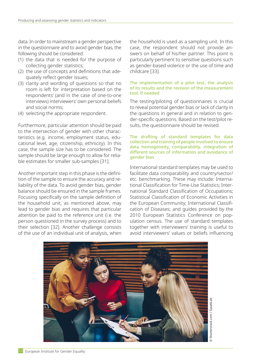data. In order to mainstream a gender perspective in the questionnaire and to avoid gender bias, the following should be considered:

- (1) the data that is needed for the purpose of collecting gender statistics;
- (2) the use of concepts and definitions that adequately reflect gender issues;
- (3) clarity and wording of questions so that no room is left for interpretation based on the respondents' (and in the case of one-to-one interviews) interviewers' own personal beliefs and social norms;
- (4) selecting the appropriate respondent.

Furthermore, particular attention should be paid to the intersection of gender with other characteristics (e.g. income, employment status, educational level, age, citizenship, ethnicity). In this case, the sample size has to be considered. The sample should be large enough to allow for reliable estimates for smaller sub-samples [31].

Another important step in this phase is the definition of the sample to ensure the accuracy and reliability of the data. To avoid gender bias, gender balance should be ensured in the sample frames. Focusing specifically on the sample definition of the household unit, as mentioned above, may lead to gender bias and requires that particular attention be paid to the reference unit (i.e. the person questioned in the survey process) and to their selection [32]. Another challenge consists of the use of an individual unit of analysis, when the household is used as a sampling unit. In this case, the respondent should not provide answers on behalf of his/her partner. This point is particularly pertinent to sensitive questions such as gender-based violence or the use of time and childcare [33].

#### The implementation of a pilot test, the analysis of its results and the revision of the measurement tool, if needed

The testing/piloting of questionnaires is crucial to reveal potential gender bias or lack of clarity in the questions in general and in relation to gender-specific questions. Based on the test/pilot results, the questionnaire should be revised.

#### The drafting of standard templates for data collection and training of people involved to ensure data homogeneity, comparability, integration of different sources of information and avoidance of gender bias

International standard templates may be used to facilitate data comparability and country/sector/ etc. benchmarking. These may include: International Classification for Time-Use Statistics; International Standard Classification of Occupations; Statistical Classification of Economic Activities in the European Community; International Classification of Diseases; and guides provided by the 2010 European Statistics Conference on population census. The use of standard templates together with interviewers' training is useful to avoid interviewers' values or beliefs influencing

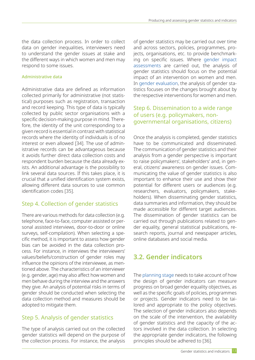<span id="page-14-0"></span>the data collection process. In order to collect data on gender inequalities, interviewers need to understand the gender issues at stake and the different ways in which women and men may respond to some issues.

#### Administrative data

Administrative data are defined as information collected primarily for administrative (not statistical) purposes such as registration, transaction and record keeping. This type of data is typically collected by public sector organisations with a specific decision-making purpose in mind. Therefore, the identity of the unit corresponding to a given record is essential in contrast with statistical records where the identity of individuals is of no interest or even allowed [34]. The use of administrative records can be advantageous because it avoids further direct data collection costs and respondent burden because the data already exists. An additional advantage is the possibility to link several data sources. If this takes place, it is crucial that a unified identification system exists, allowing different data sources to use common identification codes [35].

#### Step 4. Collection of gender statistics

There are various methods for data collection (e.g. telephone, face-to-face, computer assisted or personal assisted interviews, door-to-door or online surveys, self-compilation). When selecting a specific method, it is important to assess how gender bias can be avoided in the data collection process. For instance, in interviews the interviewers' values/beliefs/construction of gender roles may influence the opinions of the interviewee, as mentioned above. The characteristics of an interviewer (e.g. gender, age) may also affect how women and men behave during the interview and the answers they give. An analysis of potential risks in terms of gender should be conducted when selecting the data collection method and measures should be adopted to mitigate them.

#### Step 5. Analysis of gender statistics

The type of analysis carried out on the collected gender statistics will depend on the purpose of the collection process. For instance, the analysis

of gender statistics may be carried out over time and across sectors, policies, programmes, projects, organisations, etc. to provide benchmarking on specific issues. Where gender impact assessments are carried out, the analysis of gender statistics should focus on the potential impact of an intervention on women and men. In [gender evaluation](https://eige.europa.eu/gender-mainstreaming/methods-tools/gender-evaluation), the analysis of gender statistics focuses on the changes brought about by the respective interventions for women and men.

#### Step 6. Dissemination to a wide range of users (e.g. policymakers, nongovernmental organisations, citizens)

Once the analysis is completed, gender statistics have to be communicated and disseminated. The communication of gender statistics and their analysis from a gender perspective is important to raise policymakers', stakeholders' and, in general, citizens' awareness on gender issues. Communicating the value of gender statistics is also important to enhance their use and show their potential for different users or audiences (e.g. researchers, evaluators, policymakers, stakeholders). When disseminating gender statistics, data summaries and information, they should be made accessible for different target audiences. The dissemination of gender statistics can be carried out through publications related to gender equality, general statistical publications, research reports, journal and newspaper articles, online databases and social media.

#### **3.2. Gender indicators**

The [planning stage](https://eige.europa.eu/gender-mainstreaming/methods-tools/gender-planning) needs to take account of how the design of gender indicators can measure progress on broad gender equality objectives, as well as the specific goals of policies, programmes or projects. Gender indicators need to be tailored and appropriate to the policy objectives. The selection of gender indicators also depends on the scale of the intervention, the availability of gender statistics and the capacity of the actors involved in the data collection. In selecting the appropriate gender indicators, the following principles should be adhered to [36].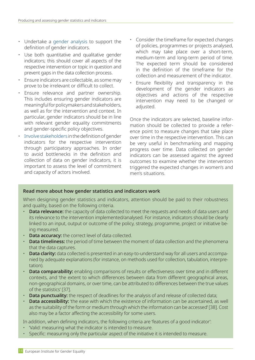- Undertake a [gender analysis](https://eige.europa.eu/gender-mainstreaming/methods-tools/gender-analysis) to support the definition of gender indicators.
- Use both quantitative and qualitative gender indicators; this should cover all aspects of the respective intervention or topic in question and prevent gaps in the data collection process.
- Ensure indicators are collectable, as some may prove to be irrelevant or difficult to collect.
- Ensure relevance and partner ownership. This includes ensuring gender indicators are meaningful for policymakers and stakeholders, as well as for the intervention and context. In particular, gender indicators should be in line with relevant gender equality commitments and gender-specific policy objectives.
- [Involve stakeholders](https://eige.europa.eu/gender-mainstreaming/methods-tools/gender-sensitive-stakeholder-consultation) in the definition of gender indicators for the respective intervention through participatory approaches. In order to avoid bottlenecks in the definition and collection of data on gender indicators, it is important to assess the level of commitment and capacity of actors involved.
- Consider the timeframe for expected changes of policies, programmes or projects analysed, which may take place over a short-term, medium-term and long-term period of time. The expected term should be considered in the definition of the timeframe for the collection and measurement of the indicator.
- Ensure flexibility and transparency in the development of the gender indicators as objectives and actions of the respective intervention may need to be changed or adiusted.

Once the indicators are selected, baseline information should be collected to provide a reference point to measure changes that take place over time in the respective intervention. This can be very useful in benchmarking and mapping progress over time. Data collected on gender indicators can be assessed against the agreed outcomes to examine whether the intervention triggered the expected changes in women's and men's situations.

#### **Read more about how gender statistics and indicators work**

When designing gender statistics and indicators, attention should be paid to their robustness and quality, based on the following criteria.

- **Data relevance:** the capacity of data collected to meet the requests and needs of data users and its relevance to the intervention implemented/analysed. For instance, indicators should be clearly linked to an input, output or outcome of the policy, strategy, programme, project or initiative being measured.
- **Data accuracy:** the correct level of data collected.
- **Data timeliness:** the period of time between the moment of data collection and the phenomena that the data captures.
- **Data clarity:** data collected is presented in an easy-to-understand way for all users and accompanied by adequate explanations (for instance, on methods used for collection, tabulation, interpretation).
- **Data comparability:** enabling comparisons of results or effectiveness over time and in different contexts, and 'the extent to which differences between data from different geographical areas, non-geographical domains, or over time, can be attributed to differences between the true values of the statistics' [37].
- **Data punctuality:** the respect of deadlines for the analysis of and release of collected data;
- **Data accessibility:** 'the ease with which the existence of information can be ascertained, as well as the suitability of the form or medium through which the information can be accessed' [38]. Cost also may be a factor affecting the accessibility for some users.

In addition, when defining indicators, the following criteria are 'features of a good indicator':

- 'Valid: measuring what the indicator is intended to measure.
- Specific: measuring only the particular aspect of the initiative it is intended to measure.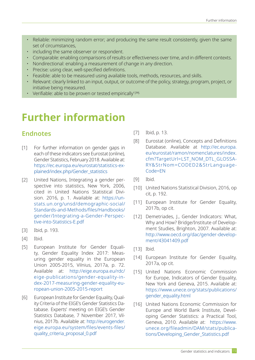- Reliable: minimizing random error; and producing the same result consistently, given the same set of circumstances,
- including the same observer or respondent.
- Comparable: enabling comparisons of results or effectiveness over time, and in different contexts.
- Nondirectional: enabling a measurement of change in any direction.
- Precise: using clear, well-specified definitions.
- Feasible: able to be measured using available tools, methods, resources, and skills.
- Relevant: clearly linked to an input, output, or outcome of the policy, strategy, program, project, or initiative being measured.
- Verifiable: able to be proven or tested empirically  $[39]$ .

## **Further information**

#### **Endnotes**

- [1] For further information on gender gaps in each of these indicators see Eurostat (online), Gender Statistics, February 2018. Available at: [https://ec.europa.eu/eurostat/statistics-ex](https://ec.europa.eu/eurostat/statistics-explained/index.php/Gender_statistics)[plained/index.php/Gender\\_statistics](https://ec.europa.eu/eurostat/statistics-explained/index.php/Gender_statistics)
- [2] United Nations, Integrating a gender perspective into statistics, New York, 2006, cited in United Nations Statistical Division. 2016, p. 1. Available at: [https://un](https://unstats.un.org/unsd/demographic-social/Standards-and-Methods/files/Handbooks/gender/Integrating-a-Gender-Perspective-into-Statistics-E.pdf)[stats.un.org/unsd/demographic-social/](https://unstats.un.org/unsd/demographic-social/Standards-and-Methods/files/Handbooks/gender/Integrating-a-Gender-Perspective-into-Statistics-E.pdf) [Standards-and-Methods/files/Handbooks/](https://unstats.un.org/unsd/demographic-social/Standards-and-Methods/files/Handbooks/gender/Integrating-a-Gender-Perspective-into-Statistics-E.pdf) [gender/Integrating-a-Gender-Perspec](https://unstats.un.org/unsd/demographic-social/Standards-and-Methods/files/Handbooks/gender/Integrating-a-Gender-Perspective-into-Statistics-E.pdf)[tive-into-Statistics-E.pdf](https://unstats.un.org/unsd/demographic-social/Standards-and-Methods/files/Handbooks/gender/Integrating-a-Gender-Perspective-into-Statistics-E.pdf)
- [3] Ibid, p. 193.
- [4] Ibid.
- [5] European Institute for Gender Equality, Gender Equality Index 2017: Measuring gender equality in the European Union 2005-2015, Vilnius, 2017a, p. 72. Available at: [http://eige.europa.eu/rdc/](http://eige.europa.eu/rdc/eige-publications/gender-equality-index-2017-measuring-gender-equality-european-union-2005-2015-report) [eige-publications/gender-equality-in](http://eige.europa.eu/rdc/eige-publications/gender-equality-index-2017-measuring-gender-equality-european-union-2005-2015-report)[dex-2017-measuring-gender-equality-eu](http://eige.europa.eu/rdc/eige-publications/gender-equality-index-2017-measuring-gender-equality-european-union-2005-2015-report)[ropean-union-2005-2015-report](http://eige.europa.eu/rdc/eige-publications/gender-equality-index-2017-measuring-gender-equality-european-union-2005-2015-report)
- [6] European Institute for Gender Equality, Quality Criteria of the EIGE's Gender Statistics Database. Experts' meeting on EIGE's Gender Statistics Database, 7 November 2017, Vilnius, 2017b. Available at: [http://eurogender.](http://eurogender.eige.europa.eu/system/files/events-files/quality_criteria_proposal_0.pdf) [eige.europa.eu/system/files/events-files/](http://eurogender.eige.europa.eu/system/files/events-files/quality_criteria_proposal_0.pdf) [quality\\_criteria\\_proposal\\_0.pdf](http://eurogender.eige.europa.eu/system/files/events-files/quality_criteria_proposal_0.pdf)
- [7] Ibid, p. 13.
- [8] Eurostat (online), Concepts and Definitions Database. Available at [http://ec.europa.](http://ec.europa.eu/eurostat/ramon/nomenclatures/index.cfm?TargetUrl=LST_NOM_DTL_GLOSSARY&StrNom=CODED2&StrLanguageCode=EN) [eu/eurostat/ramon/nomenclatures/index.](http://ec.europa.eu/eurostat/ramon/nomenclatures/index.cfm?TargetUrl=LST_NOM_DTL_GLOSSARY&StrNom=CODED2&StrLanguageCode=EN) [cfm?TargetUrl=LST\\_NOM\\_DTL\\_GLOSSA-](http://ec.europa.eu/eurostat/ramon/nomenclatures/index.cfm?TargetUrl=LST_NOM_DTL_GLOSSARY&StrNom=CODED2&StrLanguageCode=EN)[RY&StrNom=CODED2&StrLanguage-](http://ec.europa.eu/eurostat/ramon/nomenclatures/index.cfm?TargetUrl=LST_NOM_DTL_GLOSSARY&StrNom=CODED2&StrLanguageCode=EN)[Code=EN](http://ec.europa.eu/eurostat/ramon/nomenclatures/index.cfm?TargetUrl=LST_NOM_DTL_GLOSSARY&StrNom=CODED2&StrLanguageCode=EN)
- [9] Ibid.
- [10] United Nations Statistical Division, 2016, op cit, p. 192.
- [11] European Institute for Gender Equality, 2017b, op cit.
- [12] Demetriades, J., Gender Indicators: What, Why and How? Bridge/Institute of Development Studies, Brighton, 2007. Available at: [http://www.oecd.org/dac/gender-develop](http://www.oecd.org/dac/gender-development/43041409.pdf)[ment/43041409.pdf](http://www.oecd.org/dac/gender-development/43041409.pdf)
- [13] Ibid.
- [14] European Institute for Gender Equality, 2017a, op cit.
- [15] United Nations Economic Commission for Europe, Indicators of Gender Equality, New York and Geneva, 2015. Available at: [https://www.unece.org/stats/publications/](https://www.unece.org/stats/publications/gender_equality.html) [gender\\_equality.html](https://www.unece.org/stats/publications/gender_equality.html)
- [16] United Nations Economic Commission for Europe and World Bank Institute, Developing Gender Statistics: a Practical Tool, Geneva, 2010. Available at: [https://www.](https://www.unece.org/fileadmin/DAM/stats/publications/Developing_Gender_Statistics.pdf) [unece.org/fileadmin/DAM/stats/publica](https://www.unece.org/fileadmin/DAM/stats/publications/Developing_Gender_Statistics.pdf)[tions/Developing\\_Gender\\_Statistics.pdf](https://www.unece.org/fileadmin/DAM/stats/publications/Developing_Gender_Statistics.pdf)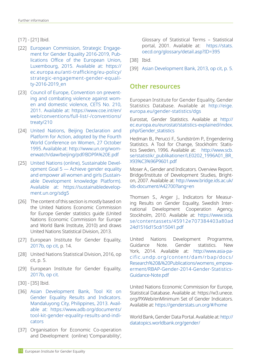#### [17] - [21] Ibid.

- [22] European Commission, Strategic Engagement for Gender Equality 2016-2019, Publications Office of the European Union, Luxembourg, 2015. Available at: [https://](https://ec.europa.eu/anti-trafficking/eu-policy/strategic-engagement-gender-equality-2016-2019_en) [ec.europa.eu/anti-trafficking/eu-policy/](https://ec.europa.eu/anti-trafficking/eu-policy/strategic-engagement-gender-equality-2016-2019_en) [strategic-engagement-gender-equali](https://ec.europa.eu/anti-trafficking/eu-policy/strategic-engagement-gender-equality-2016-2019_en)[ty-2016-2019\\_en](https://ec.europa.eu/anti-trafficking/eu-policy/strategic-engagement-gender-equality-2016-2019_en)
- [23] Council of Europe, Convention on preventing and combating violence against women and domestic violence, CETS No. 210, 2011. Available at: https://www.coe.int/en/ web/conventions/full-list/-/conventions/ treaty/210
- [24] United Nations, Beijing Declaration and Platform for Action, adopted by the Fourth World Conference on Women, 27 October 1995. Available at: [http://www.un.org/wom](http://www.un.org/womenwatch/daw/beijing/pdf/BDPfA E.pdf)[enwatch/daw/beijing/pdf/BDPfA%20E.pdf](http://www.un.org/womenwatch/daw/beijing/pdf/BDPfA E.pdf)
- [25] United Nations (online), Sustainable Development Goal 5 — Achieve gender equality and empower all women and girls (Sustainable Development knowledge Platform). Available at: [https://sustainabledevelop](https://sustainabledevelopment.un.org/sdg5)[ment.un.org/sdg5](https://sustainabledevelopment.un.org/sdg5)
- [26] The content of this section is mostly based on the United Nations Economic Commission for Europe Gender statistics guide (United Nations Economic Commission for Europe and World Bank Institute, 2010) and draws United Nations Statistical Division, 2013.
- [27] European Institute for Gender Equality, 2017b, op cit, p. 14.
- [28] United Nations Statistical Division, 2016, op cit, p. 5.
- [29] European Institute for Gender Equality, 2017b, op cit.
- [30] [35] Ibid.
- [36] Asian Development Bank, Tool Kit on Gender Equality Results and Indicators. Mandaluyong City, Philippines, 2013. Available at: [https://www.adb.org/documents/](https://www.adb.org/documents/tool-kit-gender-equality-results-and-indicators) [tool-kit-gender-equality-results-and-indi](https://www.adb.org/documents/tool-kit-gender-equality-results-and-indicators)[cators](https://www.adb.org/documents/tool-kit-gender-equality-results-and-indicators)
- [37] Organisation for Economic Co-operation and Development (online) 'Comparability',

Glossary of Statistical Terms – Statistical portal, 2001. Available at: [https://stats.](https://stats.oecd.org/glossary/detail.asp?ID=395) [oecd.org/glossary/detail.asp?ID=395](https://stats.oecd.org/glossary/detail.asp?ID=395)

- [38] Ibid.
- [39] Asian Development Bank, 2013, op cit, p. 5.

#### **Other resources**

European Institute for Gender Equality, Gender Statistics Database. Available at http://eige. europa.eu/gender-statistics/dgs

Eurostat, Gender Statistics. Available at [http://](http://ec.europa.eu/eurostat/statistics-explained/index.php/Gender_statistics) [ec.europa.eu/eurostat/statistics-explained/index.](http://ec.europa.eu/eurostat/statistics-explained/index.php/Gender_statistics) [php/Gender\\_statistics](http://ec.europa.eu/eurostat/statistics-explained/index.php/Gender_statistics)

Hedman B., Perucci F., Sundström P., Engendering Statistics. A Tool for Change, Stockholm: Statistics Sweden, 1996. Available at: [http://www.scb.](http://www.scb.se/statistik/_publikationer/LE0202_1996A01_BR_X93%C3%96P9601.pdf) [se/statistik/\\_publikationer/LE0202\\_1996A01\\_BR\\_](http://www.scb.se/statistik/_publikationer/LE0202_1996A01_BR_X93%C3%96P9601.pdf) [X93%C3%96P9601.pdf](http://www.scb.se/statistik/_publikationer/LE0202_1996A01_BR_X93%C3%96P9601.pdf)

Moser A., Gender and Indicators. Overview Report. Bridge/Institute of Development Studies, Brighton, 2007. Available at: [http://www.bridge.ids.ac.uk/](http://www.bridge.ids.ac.uk/ids-document/A42700?lang=en) [ids-document/A42700?lang=en](http://www.bridge.ids.ac.uk/ids-document/A42700?lang=en)

Thomsen S., Anger J., Indicators for Measuring Results on Gender Equality, Swedish International Development Cooperation Agency, Stockholm, 2010. Available at: [https://www.sida.](https://www.sida.se/contentassets/45912e707384403a80ad24d1516d15cd/15041.pdf) [se/contentassets/45912e707384403a80ad](https://www.sida.se/contentassets/45912e707384403a80ad24d1516d15cd/15041.pdf) [24d1516d15cd/15041.pdf](https://www.sida.se/contentassets/45912e707384403a80ad24d1516d15cd/15041.pdf)

United Nations Development Programme, Guidance Note. Gender statistics. New York, 2014. Available at: [http://www.asia-pa](http://www.asia-pacific.undp.org/content/dam/rbap/docs/Research%20&%20Publications/womens_empowerment/RBAP-Gender-2014-Gender-Statistics-Guidance-Note.pdf)[cific.undp.org/content/dam/rbap/docs/](http://www.asia-pacific.undp.org/content/dam/rbap/docs/Research%20&%20Publications/womens_empowerment/RBAP-Gender-2014-Gender-Statistics-Guidance-Note.pdf) [Research%20&%20Publications/womens\\_empow](http://www.asia-pacific.undp.org/content/dam/rbap/docs/Research%20&%20Publications/womens_empowerment/RBAP-Gender-2014-Gender-Statistics-Guidance-Note.pdf)[erment/RBAP-Gender-2014-Gender-Statistics-](http://www.asia-pacific.undp.org/content/dam/rbap/docs/Research%20&%20Publications/womens_empowerment/RBAP-Gender-2014-Gender-Statistics-Guidance-Note.pdf)[Guidance-Note.pdf](http://www.asia-pacific.undp.org/content/dam/rbap/docs/Research%20&%20Publications/womens_empowerment/RBAP-Gender-2014-Gender-Statistics-Guidance-Note.pdf)

United Nations Economic Commission for Europe, Statistical Database. Available at: https://w3.unece. org/PXWeb/enMinimum Set of Gender Indicators. Available at:<https://genderstats.un.org/#/home>

World Bank, Gender Data Portal. Available at: [http://](http://datatopics.worldbank.org/gender/) [datatopics.worldbank.org/gender/](http://datatopics.worldbank.org/gender/)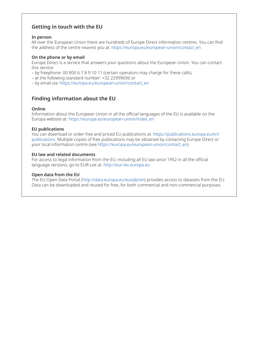#### **Getting in touch with the EU**

#### **In person**

All over the European Union there are hundreds of Europe Direct information centres. You can find the address of the centre nearest you at: [https://europa.eu/european-union/contact\\_en](https://europa.eu/european-union/contact_en)

#### **On the phone or by email**

Europe Direct is a service that answers your questions about the European Union. You can contact this service:

- by freephone: 00 800 6 7 8 9 10 11 (certain operators may charge for these calls),
- at the following standard number: +32 22999696 or
- by email via: [https://europa.eu/european-union/contact\\_en](https://europa.eu/european-union/contact_en)

#### **Finding information about the EU**

#### **Online**

Information about the European Union in all the official languages of the EU is available on the Europa website at: [https://europa.eu/european-union/index\\_en](https://europa.eu/european-union/index_en)

#### **EU publications**

You can download or order free and priced EU publications at: [https://publications.europa.eu/en/](https://publications.europa.eu/en/publications) [publications.](https://publications.europa.eu/en/publications) Multiple copies of free publications may be obtained by contacting Europe Direct or your local information centre (see [https://europa.eu/european-union/contact\\_en](https://europa.eu/european-union/contact_en)).

#### **EU law and related documents**

For access to legal information from the EU, including all EU law since 1952 in all the official language versions, go to EUR-Lex at: <http://eur-lex.europa.eu>

#### **Open data from the EU**

The EU Open Data Portal [\(http://data.europa.eu/euodp/en](http://data.europa.eu/euodp/en)) provides access to datasets from the EU. Data can be downloaded and reused for free, for both commercial and non-commercial purposes.